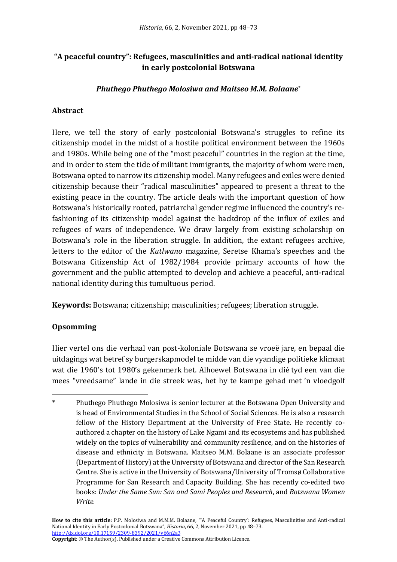# **"A peaceful country": Refugees, masculinities and anti-radical national identity in early postcolonial Botswana**

#### *Phuthego Phuthego Molosiwa and Maitseo M.M. Bolaane*\*

### **Abstract**

Here, we tell the story of early postcolonial Botswana's struggles to refine its citizenship model in the midst of a hostile political environment between the 1960s and 1980s. While being one of the "most peaceful" countries in the region at the time, and in order to stem the tide of militant immigrants, the majority of whom were men, Botswana opted to narrow its citizenship model. Many refugees and exiles were denied citizenship because their "radical masculinities" appeared to present a threat to the existing peace in the country. The article deals with the important question of how Botswana's historically rooted, patriarchal gender regime influenced the country's refashioning of its citizenship model against the backdrop of the influx of exiles and refugees of wars of independence. We draw largely from existing scholarship on Botswana's role in the liberation struggle. In addition, the extant refugees archive, letters to the editor of the *Kutlwano* magazine, Seretse Khama's speeches and the Botswana Citizenship Act of 1982/1984 provide primary accounts of how the government and the public attempted to develop and achieve a peaceful, anti-radical national identity during this tumultuous period.

**Keywords:** Botswana; citizenship; masculinities; refugees; liberation struggle.

### **Opsomming**

Hier vertel ons die verhaal van post-koloniale Botswana se vroeë jare, en bepaal die uitdagings wat betref sy burgerskapmodel te midde van die vyandige politieke klimaat wat die 1960's tot 1980's gekenmerk het. Alhoewel Botswana in dié tyd een van die mees "vreedsame" lande in die streek was, het hy te kampe gehad met 'n vloedgolf

**How to cite this article:** P.P. Molosiwa and M.M.M. Bolaane, "'A Peaceful Country': Refugees, Masculinities and Anti-radical National Identity in Early Postcolonial Botswana", *Historia*, 66, 2, November 2021, pp 48–73. [http://dx.doi.org/10.17159/2309-8392/2021/v66n2a](http://dx.doi.org/10.17159/2309-8392/2021/v66n2a3)3

**Copyright**: © The Author(s). Published under a Creative Commons Attribution Licence.

<sup>\*</sup> Phuthego Phuthego Molosiwa is senior lecturer at the Botswana Open University and is head of Environmental Studies in the School of Social Sciences. He is also a research fellow of the History Department at the University of Free State. He recently coauthored a chapter on the history of Lake Ngami and its ecosystems and has published widely on the topics of vulnerability and community resilience, and on the histories of disease and ethnicity in Botswana. Maitseo M.M. Bolaane is an associate professor (Department of History) at the University of Botswana and director of the San Research Centre. She is active in the University of Botswana/University of Tromsø Collaborative Programme for San Research and Capacity Building. She has recently co-edited two books: *Under the Same Sun: San and Sami Peoples and Research*, and *Botswana Women Write*.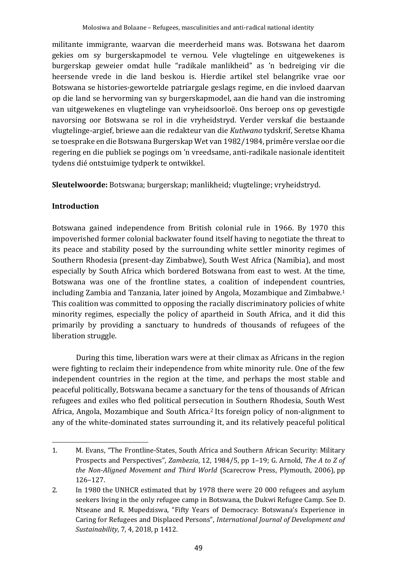militante immigrante, waarvan die meerderheid mans was. Botswana het daarom gekies om sy burgerskapmodel te vernou. Vele vlugtelinge en uitgewekenes is burgerskap geweier omdat hulle "radikale manlikheid" as 'n bedreiging vir die heersende vrede in die land beskou is. Hierdie artikel stel belangrike vrae oor Botswana se histories-gewortelde patriargale geslags regime, en die invloed daarvan op die land se hervorming van sy burgerskapmodel, aan die hand van die instroming van uitgewekenes en vlugtelinge van vryheidsoorloë. Ons beroep ons op gevestigde navorsing oor Botswana se rol in die vryheidstryd. Verder verskaf die bestaande vlugtelinge-argief, briewe aan die redakteur van die *Kutlwano* tydskrif, Seretse Khama se toesprake en die Botswana Burgerskap Wet van 1982/1984, primêre verslae oor die regering en die publiek se pogings om 'n vreedsame, anti-radikale nasionale identiteit tydens dié ontstuimige tydperk te ontwikkel.

**Sleutelwoorde:** Botswana; burgerskap; manlikheid; vlugtelinge; vryheidstryd.

## **Introduction**

Botswana gained independence from British colonial rule in 1966. By 1970 this impoverished former colonial backwater found itself having to negotiate the threat to its peace and stability posed by the surrounding white settler minority regimes of Southern Rhodesia (present-day Zimbabwe), South West Africa (Namibia), and most especially by South Africa which bordered Botswana from east to west. At the time, Botswana was one of the frontline states, a coalition of independent countries, including Zambia and Tanzania, later joined by Angola, Mozambique and Zimbabwe.<sup>1</sup> This coalition was committed to opposing the racially discriminatory policies of white minority regimes, especially the policy of apartheid in South Africa, and it did this primarily by providing a sanctuary to hundreds of thousands of refugees of the liberation struggle.

During this time, liberation wars were at their climax as Africans in the region were fighting to reclaim their independence from white minority rule. One of the few independent countries in the region at the time, and perhaps the most stable and peaceful politically, Botswana became a sanctuary for the tens of thousands of African refugees and exiles who fled political persecution in Southern Rhodesia, South West Africa, Angola, Mozambique and South Africa. <sup>2</sup> Its foreign policy of non-alignment to any of the white-dominated states surrounding it, and its relatively peaceful political

<sup>1.</sup> M. Evans, "The Frontline-States, South Africa and Southern African Security: Military Prospects and Perspectives", *Zambezia*, 12, 1984/5, pp 1–19; G. Arnold, *The A to Z of the Non-Aligned Movement and Third World* (Scarecrow Press, Plymouth, 2006), pp 126–127.

<sup>2.</sup> In 1980 the UNHCR estimated that by 1978 there were 20 000 refugees and asylum seekers living in the only refugee camp in Botswana, the Dukwi Refugee Camp. See D. Ntseane and R. Mupedziswa, "Fifty Years of Democracy: Botswana's Experience in Caring for Refugees and Displaced Persons", *International Journal of Development and Sustainability*, 7, 4, 2018, p 1412.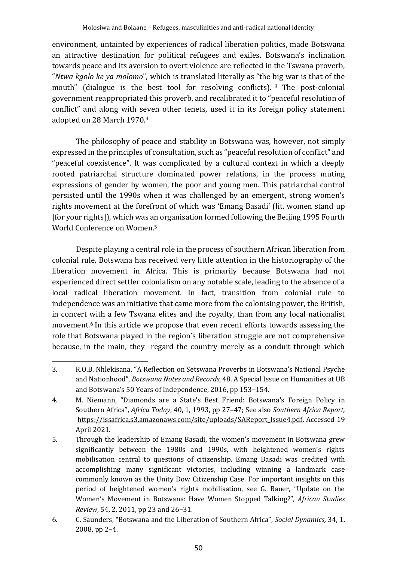environment, untainted by experiences of radical liberation politics, made Botswana an attractive destination for political refugees and exiles. Botswana's inclination towards peace and its aversion to overt violence are reflected in the Tswana proverb, "*Ntwa kgolo ke ya molomo*", which is translated literally as "the big war is that of the mouth" (dialogue is the best tool for resolving conflicts). <sup>3</sup> The post-colonial government reappropriated this proverb, and recalibrated it to "peaceful resolution of conflict" and along with seven other tenets, used it in its foreign policy statement adopted on 28 March 1970.<sup>4</sup>

The philosophy of peace and stability in Botswana was, however, not simply expressed in the principles of consultation, such as "peaceful resolution of conflict" and "peaceful coexistence". It was complicated by a cultural context in which a deeply rooted patriarchal structure dominated power relations, in the process muting expressions of gender by women, the poor and young men. This patriarchal control persisted until the 1990s when it was challenged by an emergent, strong women's rights movement at the forefront of which was 'Emang Basadi' (lit. women stand up [for your rights]), which was an organisation formed following the Beijing 1995 Fourth World Conference on Women.<sup>5</sup>

Despite playing a central role in the process of southern African liberation from colonial rule, Botswana has received very little attention in the historiography of the liberation movement in Africa. This is primarily because Botswana had not experienced direct settler colonialism on any notable scale, leading to the absence of a local radical liberation movement. In fact, transition from colonial rule to independence was an initiative that came more from the colonising power, the British, in concert with a few Tswana elites and the royalty, than from any local nationalist movement.<sup>6</sup> In this article we propose that even recent efforts towards assessing the role that Botswana played in the region's liberation struggle are not comprehensive because, in the main, they regard the country merely as a conduit through which

<sup>3.</sup> R.O.B. Nhlekisana, "A Reflection on Setswana Proverbs in Botswana's National Psyche and Nationhood", *Botswana Notes and Records*, 48. A Special Issue on Humanities at UB and Botswana's 50 Years of Independence, 2016, pp 153–154.

<sup>4.</sup> M. Niemann, "Diamonds are a State's Best Friend: Botswana's Foreign Policy in Southern Africa", *Africa Today*, 40, 1, 1993, pp 27–47; See also *Southern Africa Report,* https://issafrica.s3.amazonaws.com/site/uploads/SAReport\_Issue4.pdf. Accessed 19 April 2021.

<sup>5.</sup> Through the leadership of Emang Basadi, the women's movement in Botswana grew significantly between the 1980s and 1990s, with heightened women's rights mobilisation central to questions of citizenship. Emang Basadi was credited with accomplishing many significant victories, including winning a landmark case commonly known as the Unity Dow Citizenship Case. For important insights on this period of heightened women's rights mobilisation, see G. Bauer, "Update on the Women's Movement in Botswana: Have Women Stopped Talking?", *African Studies Review*, 54, 2, 2011, pp 23 and 26–31.

<sup>6.</sup> C. Saunders, "Botswana and the Liberation of Southern Africa", *Social Dynamics,* 34, 1, 2008, pp 2–4.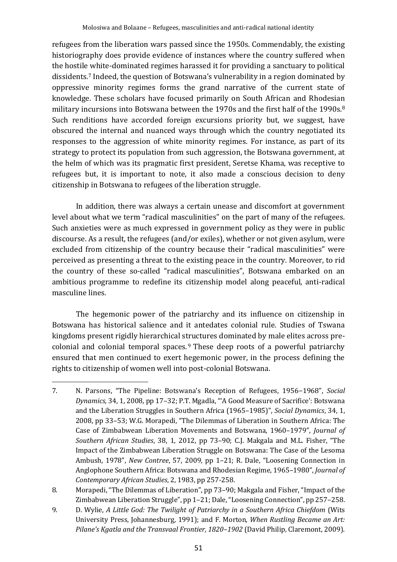refugees from the liberation wars passed since the 1950s. Commendably, the existing historiography does provide evidence of instances where the country suffered when the hostile white-dominated regimes harassed it for providing a sanctuary to political dissidents.<sup>7</sup> Indeed, the question of Botswana's vulnerability in a region dominated by oppressive minority regimes forms the grand narrative of the current state of knowledge. These scholars have focused primarily on South African and Rhodesian military incursions into Botswana between the 1970s and the first half of the 1990s.<sup>8</sup> Such renditions have accorded foreign excursions priority but, we suggest, have obscured the internal and nuanced ways through which the country negotiated its responses to the aggression of white minority regimes. For instance, as part of its strategy to protect its population from such aggression, the Botswana government, at the helm of which was its pragmatic first president, Seretse Khama, was receptive to refugees but, it is important to note, it also made a conscious decision to deny citizenship in Botswana to refugees of the liberation struggle.

In addition, there was always a certain unease and discomfort at government level about what we term "radical masculinities" on the part of many of the refugees. Such anxieties were as much expressed in government policy as they were in public discourse. As a result, the refugees (and/or exiles), whether or not given asylum, were excluded from citizenship of the country because their "radical masculinities" were perceived as presenting a threat to the existing peace in the country. Moreover, to rid the country of these so-called "radical masculinities", Botswana embarked on an ambitious programme to redefine its citizenship model along peaceful, anti-radical masculine lines.

The hegemonic power of the patriarchy and its influence on citizenship in Botswana has historical salience and it antedates colonial rule. Studies of Tswana kingdoms present rigidly hierarchical structures dominated by male elites across precolonial and colonial temporal spaces. <sup>9</sup> These deep roots of a powerful patriarchy ensured that men continued to exert hegemonic power, in the process defining the rights to citizenship of women well into post-colonial Botswana.

<sup>7.</sup> N. Parsons, "The Pipeline: Botswana's Reception of Refugees, 1956–1968", *Social Dynamics,* 34, 1, 2008, pp 17–32; P.T. Mgadla, "'A Good Measure of Sacrifice': Botswana and the Liberation Struggles in Southern Africa (1965–1985)", *Social Dynamics*, 34, 1, 2008, pp 33–53; W.G. Morapedi, "The Dilemmas of Liberation in Southern Africa: The Case of Zimbabwean Liberation Movements and Botswana, 1960–1979", *Journal of Southern African Studies*, 38, 1, 2012, pp 73–90; C.J. Makgala and M.L. Fisher, "The Impact of the Zimbabwean Liberation Struggle on Botswana: The Case of the Lesoma Ambush, 1978", *New Contree*, 57, 2009, pp 1–21; R. Dale, "Loosening Connection in Anglophone Southern Africa: Botswana and Rhodesian Regime, 1965–1980", *Journal of Contemporary African Studies*, 2, 1983, pp 257-258.

<sup>8.</sup> Morapedi, "The Dilemmas of Liberation", pp 73–90; Makgala and Fisher, "Impact of the Zimbabwean Liberation Struggle", pp 1–21; Dale, "Loosening Connection", pp 257–258.

<sup>9.</sup> D. Wylie, *A Little God: The Twilight of Patriarchy in a Southern Africa Chiefdom* (Wits University Press, Johannesburg, 1991); and F. Morton*, When Rustling Became an Art: Pilane's Kgatla and the Transvaal Frontier, 1820–1902* (David Philip, Claremont, 2009).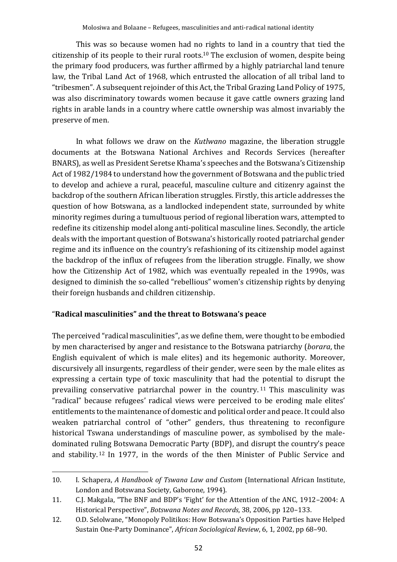This was so because women had no rights to land in a country that tied the citizenship of its people to their rural roots.<sup>10</sup> The exclusion of women, despite being the primary food producers, was further affirmed by a highly patriarchal land tenure law, the Tribal Land Act of 1968, which entrusted the allocation of all tribal land to "tribesmen". A subsequent rejoinder of this Act, the Tribal Grazing Land Policy of 1975, was also discriminatory towards women because it gave cattle owners grazing land rights in arable lands in a country where cattle ownership was almost invariably the preserve of men.

In what follows we draw on the *Kutlwano* magazine, the liberation struggle documents at the Botswana National Archives and Records Services (hereafter BNARS), as well as President Seretse Khama's speeches and the Botswana's Citizenship Act of 1982/1984 to understand how the government of Botswana and the public tried to develop and achieve a rural, peaceful, masculine culture and citizenry against the backdrop of the southern African liberation struggles. Firstly, this article addresses the question of how Botswana, as a landlocked independent state, surrounded by white minority regimes during a tumultuous period of regional liberation wars, attempted to redefine its citizenship model along anti-political masculine lines. Secondly, the article deals with the important question of Botswana's historically rooted patriarchal gender regime and its influence on the country's refashioning of its citizenship model against the backdrop of the influx of refugees from the liberation struggle. Finally, we show how the Citizenship Act of 1982, which was eventually repealed in the 1990s, was designed to diminish the so-called "rebellious" women's citizenship rights by denying their foreign husbands and children citizenship.

# "**Radical masculinities" and the threat to Botswana's peace**

The perceived "radical masculinities", as we define them, were thought to be embodied by men characterised by anger and resistance to the Botswana patriarchy (*borara*, the English equivalent of which is male elites) and its hegemonic authority. Moreover, discursively all insurgents, regardless of their gender, were seen by the male elites as expressing a certain type of toxic masculinity that had the potential to disrupt the prevailing conservative patriarchal power in the country. <sup>11</sup> This masculinity was "radical" because refugees' radical views were perceived to be eroding male elites' entitlements to the maintenance of domestic and political order and peace. It could also weaken patriarchal control of "other" genders, thus threatening to reconfigure historical Tswana understandings of masculine power, as symbolised by the maledominated ruling Botswana Democratic Party (BDP), and disrupt the country's peace and stability. <sup>12</sup> In 1977, in the words of the then Minister of Public Service and

<sup>10.</sup> I. Schapera, *A Handbook of Tswana Law and Custom* (International African Institute, London and Botswana Society, Gaborone, 1994).

<sup>11.</sup> C.J. Makgala, "The BNF and BDP's 'Fight' for the Attention of the ANC, 1912–2004: A Historical Perspective", *Botswana Notes and Records*, 38, 2006, pp 120–133.

<sup>12.</sup> O.D. Selolwane, "Monopoly Politikos: How Botswana's Opposition Parties have Helped Sustain One-Party Dominance", *African Sociological Review*, 6, 1, 2002, pp 68–90.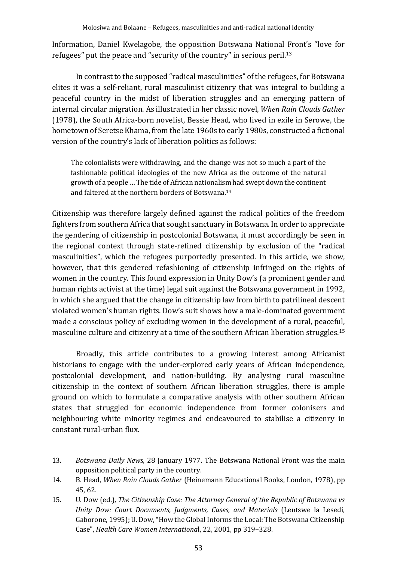Information, Daniel Kwelagobe, the opposition Botswana National Front's "love for refugees" put the peace and "security of the country" in serious peril.<sup>13</sup>

In contrast to the supposed "radical masculinities" of the refugees, for Botswana elites it was a self-reliant, rural masculinist citizenry that was integral to building a peaceful country in the midst of liberation struggles and an emerging pattern of internal circular migration. As illustrated in her classic novel, *When Rain Clouds Gather* (1978), the South Africa-born novelist, Bessie Head, who lived in exile in Serowe, the hometown of Seretse Khama, from the late 1960s to early 1980s, constructed a fictional version of the country's lack of liberation politics as follows:

The colonialists were withdrawing, and the change was not so much a part of the fashionable political ideologies of the new Africa as the outcome of the natural growth of a people … The tide of African nationalism had swept down the continent and faltered at the northern borders of Botswana.<sup>14</sup>

Citizenship was therefore largely defined against the radical politics of the freedom fighters from southern Africa that sought sanctuary in Botswana. In order to appreciate the gendering of citizenship in postcolonial Botswana, it must accordingly be seen in the regional context through state-refined citizenship by exclusion of the "radical masculinities", which the refugees purportedly presented. In this article, we show, however, that this gendered refashioning of citizenship infringed on the rights of women in the country. This found expression in Unity Dow's (a prominent gender and human rights activist at the time) legal suit against the Botswana government in 1992, in which she argued that the change in citizenship law from birth to patrilineal descent violated women's human rights. Dow's suit shows how a male-dominated government made a conscious policy of excluding women in the development of a rural, peaceful, masculine culture and citizenry at a time of the southern African liberation struggles.<sup>15</sup>

Broadly, this article contributes to a growing interest among Africanist historians to engage with the under-explored early years of African independence, postcolonial development, and nation-building. By analysing rural masculine citizenship in the context of southern African liberation struggles, there is ample ground on which to formulate a comparative analysis with other southern African states that struggled for economic independence from former colonisers and neighbouring white minority regimes and endeavoured to stabilise a citizenry in constant rural-urban flux.

<sup>13.</sup> *Botswana Daily News*, 28 January 1977. The Botswana National Front was the main opposition political party in the country.

<sup>14.</sup> B. Head, *When Rain Clouds Gather* (Heinemann Educational Books, London, 1978), pp 45, 62.

<sup>15.</sup> U. Dow (ed.), *The Citizenship Case: The Attorney General of the Republic of Botswana vs Unity Dow: Court Documents, Judgments, Cases, and Materials* (Lentswe la Lesedi, Gaborone, 1995); U. Dow, "How the Global Informs the Local: The Botswana Citizenship Case", *Health Care Women Internationa*l, 22, 2001, pp 319–328.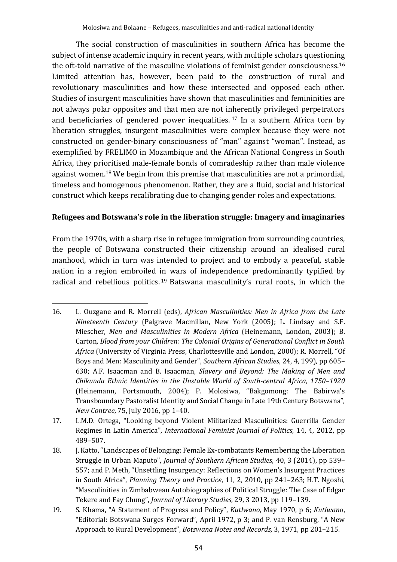The social construction of masculinities in southern Africa has become the subject of intense academic inquiry in recent years, with multiple scholars questioning the oft-told narrative of the masculine violations of feminist gender consciousness.<sup>16</sup> Limited attention has, however, been paid to the construction of rural and revolutionary masculinities and how these intersected and opposed each other. Studies of insurgent masculinities have shown that masculinities and femininities are not always polar opposites and that men are not inherently privileged perpetrators and beneficiaries of gendered power inequalities. <sup>17</sup> In a southern Africa torn by liberation struggles, insurgent masculinities were complex because they were not constructed on gender-binary consciousness of "man" against "woman". Instead, as exemplified by FRELIMO in Mozambique and the African National Congress in South Africa, they prioritised male-female bonds of comradeship rather than male violence against women.<sup>18</sup> We begin from this premise that masculinities are not a primordial, timeless and homogenous phenomenon. Rather, they are a fluid, social and historical construct which keeps recalibrating due to changing gender roles and expectations.

#### **Refugees and Botswana's role in the liberation struggle: Imagery and imaginaries**

From the 1970s, with a sharp rise in refugee immigration from surrounding countries, the people of Botswana constructed their citizenship around an idealised rural manhood, which in turn was intended to project and to embody a peaceful, stable nation in a region embroiled in wars of independence predominantly typified by radical and rebellious politics.<sup>19</sup> Batswana masculinity's rural roots, in which the

<sup>16.</sup> L. Ouzgane and R. Morrell (eds), *African Masculinities: Men in Africa from the Late Nineteenth Century* (Palgrave Macmillan, New York (2005); L. Lindsay and S.F. Miescher, *Men and Masculinities in Modern Africa* (Heinemann, London, 2003); B. Carton, *Blood from your Children: The Colonial Origins of Generational Conflict in South Africa* (University of Virginia Press, Charlottesville and London, 2000); R. Morrell, "Of Boys and Men: Masculinity and Gender", *Southern African Studies*, 24, 4, 199), pp 605– 630; A.F. Isaacman and B. Isaacman, *Slavery and Beyond: The Making of Men and Chikunda Ethnic Identities in the Unstable World of South-central Africa, 1750*–*1920* (Heinemann, Portsmouth, 2004); P. Molosiwa, "Bakgomong: The Babirwa's Transboundary Pastoralist Identity and Social Change in Late 19th Century Botswana", *New Contree*, 75, July 2016, pp 1–40.

<sup>17.</sup> L.M.D. Ortega, "Looking beyond Violent Militarized Masculinities: Guerrilla Gender Regimes in Latin America", *International Feminist Journal of Politics*, 14, 4, 2012, pp 489–507.

<sup>18.</sup> J. Katto, "Landscapes of Belonging: Female Ex-combatants Remembering the Liberation Struggle in Urban Maputo", *Journal of Southern African Studies*, 40, 3 (2014), pp 539– 557; and P. Meth, "Unsettling Insurgency: Reflections on Women's Insurgent Practices in South Africa", *Planning Theory and Practice*, 11, 2, 2010, pp 241–263; H.T. Ngoshi, "Masculinities in Zimbabwean Autobiographies of Political Struggle: The Case of Edgar Tekere and Fay Chung", *Journal of Literary Studies*, 29, 3 2013, pp 119–139.

<sup>19.</sup> S. Khama, "A Statement of Progress and Policy", *Kutlwano*, May 1970, p 6; *Kutlwano*, "Editorial: Botswana Surges Forward", April 1972, p 3; and P. van Rensburg, "A New Approach to Rural Development", *Botswana Notes and Records,* 3, 1971, pp 201–215.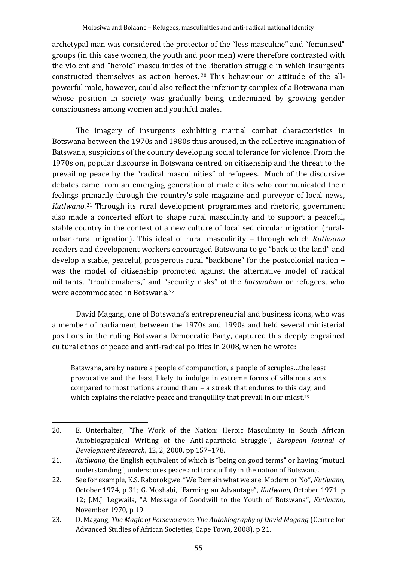archetypal man was considered the protector of the "less masculine" and "feminised" groups (in this case women, the youth and poor men) were therefore contrasted with the violent and "heroic" masculinities of the liberation struggle in which insurgents constructed themselves as action heroes**.** <sup>20</sup> This behaviour or attitude of the allpowerful male, however, could also reflect the inferiority complex of a Botswana man whose position in society was gradually being undermined by growing gender consciousness among women and youthful males.

The imagery of insurgents exhibiting martial combat characteristics in Botswana between the 1970s and 1980s thus aroused, in the collective imagination of Batswana, suspicions of the country developing social tolerance for violence. From the 1970s on, popular discourse in Botswana centred on citizenship and the threat to the prevailing peace by the "radical masculinities" of refugees. Much of the discursive debates came from an emerging generation of male elites who communicated their feelings primarily through the country's sole magazine and purveyor of local news, *Kutlwano*. <sup>21</sup> Through its rural development programmes and rhetoric, government also made a concerted effort to shape rural masculinity and to support a peaceful, stable country in the context of a new culture of localised circular migration (ruralurban-rural migration). This ideal of rural masculinity – through which *Kutlwano* readers and development workers encouraged Batswana to go "back to the land" and develop a stable, peaceful, prosperous rural "backbone" for the postcolonial nation – was the model of citizenship promoted against the alternative model of radical militants, "troublemakers," and "security risks" of the *batswakwa* or refugees, who were accommodated in Botswana.<sup>22</sup>

David Magang, one of Botswana's entrepreneurial and business icons, who was a member of parliament between the 1970s and 1990s and held several ministerial positions in the ruling Botswana Democratic Party, captured this deeply engrained cultural ethos of peace and anti-radical politics in 2008, when he wrote:

Batswana, are by nature a people of compunction, a people of scruples…the least provocative and the least likely to indulge in extreme forms of villainous acts compared to most nations around them – a streak that endures to this day, and which explains the relative peace and tranquillity that prevail in our midst.<sup>23</sup>

<sup>20.</sup> E. Unterhalter, "The Work of the Nation: Heroic Masculinity in South African Autobiographical Writing of the Anti‐apartheid Struggle", *European Journal of Development Research*, 12, 2, 2000, pp 157–178.

<sup>21.</sup> *Kutlwano*, the English equivalent of which is "being on good terms" or having "mutual understanding", underscores peace and tranquillity in the nation of Botswana.

<sup>22.</sup> See for example, K.S. Raborokgwe, "We Remain what we are, Modern or No", *Kutlwano*, October 1974, p 31; G. Moshabi, "Farming an Advantage", *Kutlwano*, October 1971, p 12; J.M.J. Legwaila, "A Message of Goodwill to the Youth of Botswana", *Kutlwano*, November 1970, p 19.

<sup>23.</sup> D. Magang, *The Magic of Perseverance: The Autobiography of David Magang* (Centre for Advanced Studies of African Societies, Cape Town, 2008), p 21.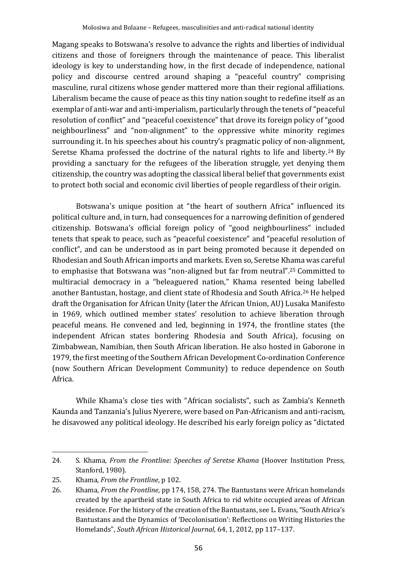Magang speaks to Botswana's resolve to advance the rights and liberties of individual citizens and those of foreigners through the maintenance of peace. This liberalist ideology is key to understanding how, in the first decade of independence, national policy and discourse centred around shaping a "peaceful country" comprising masculine, rural citizens whose gender mattered more than their regional affiliations. Liberalism became the cause of peace as this tiny nation sought to redefine itself as an exemplar of anti-war and anti-imperialism, particularly through the tenets of "peaceful resolution of conflict" and "peaceful coexistence" that drove its foreign policy of "good neighbourliness" and "non-alignment" to the oppressive white minority regimes surrounding it. In his speeches about his country's pragmatic policy of non-alignment, Seretse Khama professed the doctrine of the natural rights to life and liberty.<sup>24</sup> By providing a sanctuary for the refugees of the liberation struggle, yet denying them citizenship, the country was adopting the classical liberal belief that governments exist to protect both social and economic civil liberties of people regardless of their origin.

Botswana's unique position at "the heart of southern Africa" influenced its political culture and, in turn, had consequences for a narrowing definition of gendered citizenship. Botswana's official foreign policy of "good neighbourliness" included tenets that speak to peace, such as "peaceful coexistence" and "peaceful resolution of conflict", and can be understood as in part being promoted because it depended on Rhodesian and South African imports and markets. Even so, Seretse Khama was careful to emphasise that Botswana was "non-aligned but far from neutral". <sup>25</sup> Committed to multiracial democracy in a "beleaguered nation," Khama resented being labelled another Bantustan, hostage, and client state of Rhodesia and South Africa.<sup>26</sup> He helped draft the Organisation for African Unity (later the African Union, AU) Lusaka Manifesto in 1969, which outlined member states' resolution to achieve liberation through peaceful means. He convened and led, beginning in 1974, the frontline states (the independent African states bordering Rhodesia and South Africa), focusing on Zimbabwean, Namibian, then South African liberation. He also hosted in Gaborone in 1979, the first meeting of the Southern African Development Co-ordination Conference (now Southern African Development Community) to reduce dependence on South Africa.

While Khama's close ties with "African socialists", such as Zambia's Kenneth Kaunda and Tanzania's Julius Nyerere, were based on Pan-Africanism and anti-racism, he disavowed any political ideology. He described his early foreign policy as "dictated

<sup>24.</sup> S. Khama, *From the Frontline: Speeches of Seretse Khama* (Hoover Institution Press, Stanford, 1980).

<sup>25.</sup> Khama, *From the Frontline*, p 102.

<sup>26.</sup> Khama, *From the Frontline*, pp 174, 158, 274. The Bantustans were African homelands created by the apartheid state in South Africa to rid white occupied areas of African residence. For the history of the creation of the Bantustans, see L. Evans, "South Africa's Bantustans and the Dynamics of 'Decolonisation': Reflections on Writing Histories the Homelands", *South African Historical Journal*, 64, 1, 2012, pp 117–137.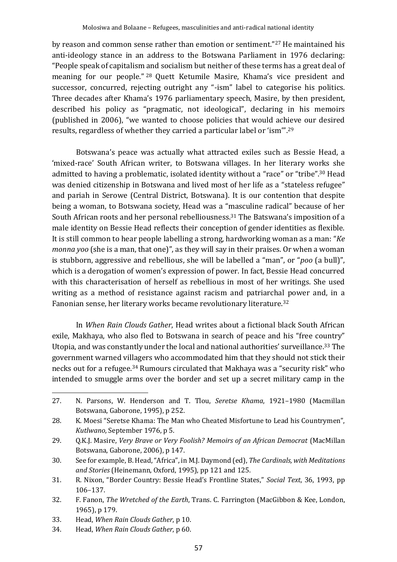by reason and common sense rather than emotion or sentiment."<sup>27</sup> He maintained his anti-ideology stance in an address to the Botswana Parliament in 1976 declaring: "People speak of capitalism and socialism but neither of these terms has a great deal of meaning for our people." <sup>28</sup> Quett Ketumile Masire, Khama's vice president and successor, concurred, rejecting outright any "-ism" label to categorise his politics. Three decades after Khama's 1976 parliamentary speech, Masire, by then president, described his policy as "pragmatic, not ideological", declaring in his memoirs (published in 2006), "we wanted to choose policies that would achieve our desired results, regardless of whether they carried a particular label or 'ism'". 29

Botswana's peace was actually what attracted exiles such as Bessie Head, a 'mixed-race' South African writer, to Botswana villages. In her literary works she admitted to having a problematic, isolated identity without a "race" or "tribe". <sup>30</sup> Head was denied citizenship in Botswana and lived most of her life as a "stateless refugee" and pariah in Serowe (Central District, Botswana). It is our contention that despite being a woman, to Botswana society, Head was a "masculine radical" because of her South African roots and her personal rebelliousness.<sup>31</sup> The Batswana's imposition of a male identity on Bessie Head reflects their conception of gender identities as flexible. It is still common to hear people labelling a strong, hardworking woman as a man: "*Ke monna yoo* (she is a man, that one)", as they will say in their praises. Or when a woman is stubborn, aggressive and rebellious, she will be labelled a "man", or "*poo* (a bull)", which is a derogation of women's expression of power. In fact, Bessie Head concurred with this characterisation of herself as rebellious in most of her writings. She used writing as a method of resistance against racism and patriarchal power and, in a Fanonian sense, her literary works became revolutionary literature.<sup>32</sup>

In *When Rain Clouds Gather*, Head writes about a fictional black South African exile, Makhaya, who also fled to Botswana in search of peace and his "free country" Utopia, and was constantly under the local and national authorities' surveillance.<sup>33</sup> The government warned villagers who accommodated him that they should not stick their necks out for a refugee.<sup>34</sup> Rumours circulated that Makhaya was a "security risk" who intended to smuggle arms over the border and set up a secret military camp in the

34. Head, *When Rain Clouds Gather*, p 60.

<sup>27.</sup> N. Parsons, W. Henderson and T. Tlou, *Seretse Khama*, 1921–1980 (Macmillan Botswana, Gaborone, 1995), p 252.

<sup>28.</sup> K. Moesi "Seretse Khama: The Man who Cheated Misfortune to Lead his Countrymen", *Kutlwano*, September 1976, p 5.

<sup>29.</sup> Q.K.J. Masire, *Very Brave or Very Foolish? Memoirs of an African Democrat* (MacMillan Botswana, Gaborone, 2006), p 147.

<sup>30.</sup> See for example, B. Head, "Africa", in M.J. Daymond (ed), *The Cardinals, with Meditations and Stories* (Heinemann, Oxford, 1995), pp 121 and 125.

<sup>31.</sup> R. Nixon, "Border Country: Bessie Head's Frontline States," *Social Text*, 36, 1993, pp 106–137.

<sup>32.</sup> F. Fanon, *The Wretched of the Earth*, Trans. C. Farrington (MacGibbon & Kee, London, 1965), p 179.

<sup>33.</sup> Head, *When Rain Clouds Gather*, p 10.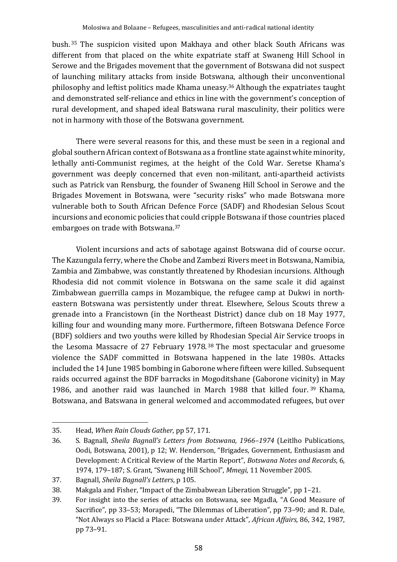bush. <sup>35</sup> The suspicion visited upon Makhaya and other black South Africans was different from that placed on the white expatriate staff at Swaneng Hill School in Serowe and the Brigades movement that the government of Botswana did not suspect of launching military attacks from inside Botswana, although their unconventional philosophy and leftist politics made Khama uneasy. <sup>36</sup> Although the expatriates taught and demonstrated self-reliance and ethics in line with the government's conception of rural development, and shaped ideal Batswana rural masculinity, their politics were not in harmony with those of the Botswana government.

There were several reasons for this, and these must be seen in a regional and global southern African context of Botswana as a frontline state against white minority, lethally anti-Communist regimes, at the height of the Cold War. Seretse Khama's government was deeply concerned that even non-militant, anti-apartheid activists such as Patrick van Rensburg, the founder of Swaneng Hill School in Serowe and the Brigades Movement in Botswana, were "security risks" who made Botswana more vulnerable both to South African Defence Force (SADF) and Rhodesian Selous Scout incursions and economic policies that could cripple Botswana if those countries placed embargoes on trade with Botswana. 37

Violent incursions and acts of sabotage against Botswana did of course occur. The Kazungula ferry, where the Chobe and Zambezi Rivers meet in Botswana, Namibia, Zambia and Zimbabwe, was constantly threatened by Rhodesian incursions. Although Rhodesia did not commit violence in Botswana on the same scale it did against Zimbabwean guerrilla camps in Mozambique, the refugee camp at Dukwi in northeastern Botswana was persistently under threat. Elsewhere, Selous Scouts threw a grenade into a Francistown (in the Northeast District) dance club on 18 May 1977, killing four and wounding many more. Furthermore, fifteen Botswana Defence Force (BDF) soldiers and two youths were killed by Rhodesian Special Air Service troops in the Lesoma Massacre of 27 February 1978. <sup>38</sup> The most spectacular and gruesome violence the SADF committed in Botswana happened in the late 1980s. Attacks included the 14 June 1985 bombing in Gaborone where fifteen were killed. Subsequent raids occurred against the BDF barracks in Mogoditshane (Gaborone vicinity) in May 1986, and another raid was launched in March 1988 that killed four. <sup>39</sup> Khama, Botswana, and Batswana in general welcomed and accommodated refugees, but over

<sup>35.</sup> Head, *When Rain Clouds Gather*, pp 57, 171.

<sup>36.</sup> S. Bagnall, *Sheila Bagnall's Letters from Botswana, 1966*–*1974* (Leitlho Publications, Oodi, Botswana, 2001), p 12; W. Henderson, "Brigades, Government, Enthusiasm and Development: A Critical Review of the Martin Report", *Botswana Notes and Records*, 6, 1974, 179–187; S. Grant, "Swaneng Hill School", *Mmegi*, 11 November 2005.

<sup>37.</sup> Bagnall, *Sheila Bagnall's Letters*, p 105.

<sup>38.</sup> Makgala and Fisher, "Impact of the Zimbabwean Liberation Struggle", pp 1–21.

<sup>39.</sup> For insight into the series of attacks on Botswana, see Mgadla, "A Good Measure of Sacrifice", pp 33–53; Morapedi, "The Dilemmas of Liberation", pp 73–90; and R. Dale, "Not Always so Placid a Place: Botswana under Attack", *African Affairs,* 86, 342, 1987, pp 73–91.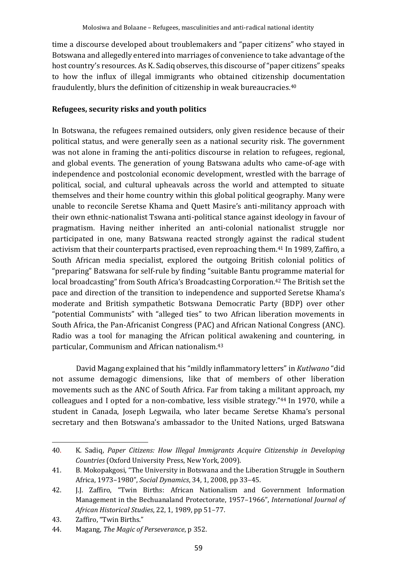time a discourse developed about troublemakers and "paper citizens" who stayed in Botswana and allegedly entered into marriages of convenience to take advantage of the host country's resources. As K. Sadiq observes, this discourse of "paper citizens" speaks to how the influx of illegal immigrants who obtained citizenship documentation fraudulently, blurs the definition of citizenship in weak bureaucracies.<sup>40</sup>

#### **Refugees, security risks and youth politics**

In Botswana, the refugees remained outsiders, only given residence because of their political status, and were generally seen as a national security risk. The government was not alone in framing the anti-politics discourse in relation to refugees, regional, and global events. The generation of young Batswana adults who came-of-age with independence and postcolonial economic development, wrestled with the barrage of political, social, and cultural upheavals across the world and attempted to situate themselves and their home country within this global political geography. Many were unable to reconcile Seretse Khama and Quett Masire's anti-militancy approach with their own ethnic-nationalist Tswana anti-political stance against ideology in favour of pragmatism. Having neither inherited an anti-colonial nationalist struggle nor participated in one, many Batswana reacted strongly against the radical student activism that their counterparts practised, even reproaching them.<sup>41</sup> In 1989, Zaffiro, a South African media specialist, explored the outgoing British colonial politics of "preparing" Batswana for self-rule by finding "suitable Bantu programme material for local broadcasting" from South Africa's Broadcasting Corporation. <sup>42</sup> The British set the pace and direction of the transition to independence and supported Seretse Khama's moderate and British sympathetic Botswana Democratic Party (BDP) over other "potential Communists" with "alleged ties" to two African liberation movements in South Africa, the Pan-Africanist Congress (PAC) and African National Congress (ANC). Radio was a tool for managing the African political awakening and countering, in particular, Communism and African nationalism.<sup>43</sup>

David Magang explained that his "mildly inflammatory letters" in *Kutlwano* "did not assume demagogic dimensions, like that of members of other liberation movements such as the ANC of South Africa. Far from taking a militant approach, my colleagues and I opted for a non-combative, less visible strategy."<sup>44</sup> In 1970, while a student in Canada, Joseph Legwaila, who later became Seretse Khama's personal secretary and then Botswana's ambassador to the United Nations, urged Batswana

<sup>40.</sup> K. Sadiq, *Paper Citizens: How Illegal Immigrants Acquire Citizenship in Developing Countries* (Oxford University Press, New York, 2009).

<sup>41.</sup> B. Mokopakgosi, "The University in Botswana and the Liberation Struggle in Southern Africa, 1973–1980", *Social Dynamics*, 34, 1, 2008, pp 33–45.

<sup>42.</sup> J.J. Zaffiro, "Twin Births: African Nationalism and Government Information Management in the Bechuanaland Protectorate, 1957–1966", *International Journal of African Historical Studies*, 22, 1, 1989, pp 51–77.

<sup>43.</sup> Zaffiro, "Twin Births."

<sup>44.</sup> Magang, *The Magic of Perseverance*, p 352.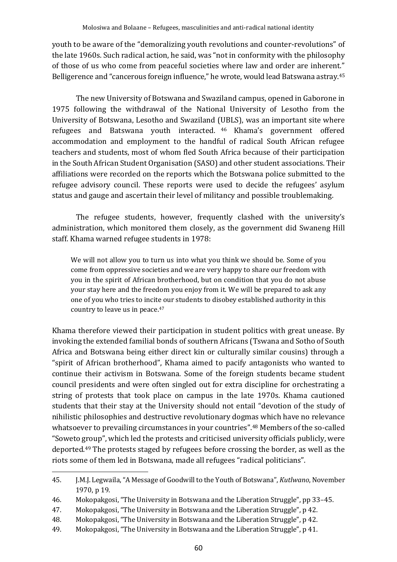youth to be aware of the "demoralizing youth revolutions and counter-revolutions" of the late 1960s. Such radical action, he said, was "not in conformity with the philosophy of those of us who come from peaceful societies where law and order are inherent." Belligerence and "cancerous foreign influence," he wrote, would lead Batswana astray.<sup>45</sup>

The new University of Botswana and Swaziland campus, opened in Gaborone in 1975 following the withdrawal of the National University of Lesotho from the University of Botswana, Lesotho and Swaziland (UBLS), was an important site where refugees and Batswana youth interacted. <sup>46</sup> Khama's government offered accommodation and employment to the handful of radical South African refugee teachers and students, most of whom fled South Africa because of their participation in the South African Student Organisation (SASO) and other student associations. Their affiliations were recorded on the reports which the Botswana police submitted to the refugee advisory council. These reports were used to decide the refugees' asylum status and gauge and ascertain their level of militancy and possible troublemaking.

The refugee students, however, frequently clashed with the university's administration, which monitored them closely, as the government did Swaneng Hill staff. Khama warned refugee students in 1978:

We will not allow you to turn us into what you think we should be. Some of you come from oppressive societies and we are very happy to share our freedom with you in the spirit of African brotherhood, but on condition that you do not abuse your stay here and the freedom you enjoy from it. We will be prepared to ask any one of you who tries to incite our students to disobey established authority in this country to leave us in peace.<sup>47</sup>

Khama therefore viewed their participation in student politics with great unease. By invoking the extended familial bonds of southern Africans (Tswana and Sotho of South Africa and Botswana being either direct kin or culturally similar cousins) through a "spirit of African brotherhood", Khama aimed to pacify antagonists who wanted to continue their activism in Botswana. Some of the foreign students became student council presidents and were often singled out for extra discipline for orchestrating a string of protests that took place on campus in the late 1970s. Khama cautioned students that their stay at the University should not entail "devotion of the study of nihilistic philosophies and destructive revolutionary dogmas which have no relevance whatsoever to prevailing circumstances in your countries".<sup>48</sup> Members of the so-called "Soweto group", which led the protests and criticised university officials publicly, were deported.<sup>49</sup> The protests staged by refugees before crossing the border, as well as the riots some of them led in Botswana, made all refugees "radical politicians".

49. Mokopakgosi, "The University in Botswana and the Liberation Struggle", p 41.

<sup>45.</sup> J.M.J. Legwaila, "A Message of Goodwill to the Youth of Botswana", *Kutlwano*, November 1970, p 19.

<sup>46.</sup> Mokopakgosi, "The University in Botswana and the Liberation Struggle", pp 33–45.

<sup>47.</sup> Mokopakgosi, "The University in Botswana and the Liberation Struggle", p 42.

<sup>48.</sup> Mokopakgosi, "The University in Botswana and the Liberation Struggle", p 42.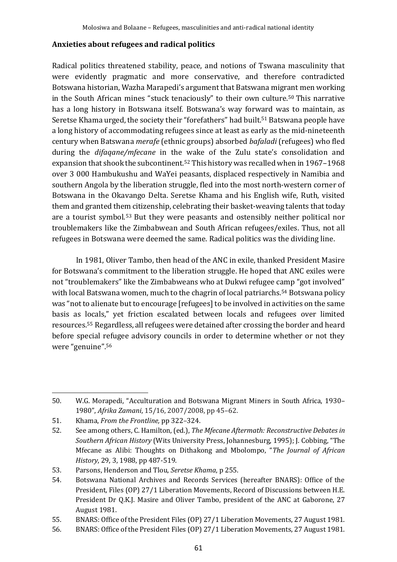#### **Anxieties about refugees and radical politics**

Radical politics threatened stability, peace, and notions of Tswana masculinity that were evidently pragmatic and more conservative, and therefore contradicted Botswana historian, Wazha Marapedi's argument that Batswana migrant men working in the South African mines "stuck tenaciously" to their own culture.<sup>50</sup> This narrative has a long history in Botswana itself. Botswana's way forward was to maintain, as Seretse Khama urged, the society their "forefathers" had built. <sup>51</sup> Batswana people have a long history of accommodating refugees since at least as early as the mid-nineteenth century when Batswana *merafe* (ethnic groups) absorbed *bafaladi* (refugees) who fled during the *difaqane/mfecane* in the wake of the Zulu state's consolidation and expansion that shook the subcontinent.<sup>52</sup> This history was recalled when in 1967–1968 over 3 000 Hambukushu and WaYei peasants, displaced respectively in Namibia and southern Angola by the liberation struggle, fled into the most north-western corner of Botswana in the Okavango Delta. Seretse Khama and his English wife, Ruth, visited them and granted them citizenship, celebrating their basket-weaving talents that today are a tourist symbol.<sup>53</sup> But they were peasants and ostensibly neither political nor troublemakers like the Zimbabwean and South African refugees/exiles. Thus, not all refugees in Botswana were deemed the same. Radical politics was the dividing line.

In 1981, Oliver Tambo, then head of the ANC in exile, thanked President Masire for Botswana's commitment to the liberation struggle. He hoped that ANC exiles were not "troublemakers" like the Zimbabweans who at Dukwi refugee camp "got involved" with local Batswana women, much to the chagrin of local patriarchs.<sup>54</sup> Botswana policy was "not to alienate but to encourage [refugees] to be involved in activities on the same basis as locals," yet friction escalated between locals and refugees over limited resources.<sup>55</sup> Regardless, all refugees were detained after crossing the border and heard before special refugee advisory councils in order to determine whether or not they were "genuine". 56

<sup>50.</sup> W.G. Morapedi, "Acculturation and Botswana Migrant Miners in South Africa, 1930– 1980", *Afrika Zamani*, 15/16, 2007/2008, pp 45–62.

<sup>51.</sup> Khama, *From the Frontline,* pp 322–324.

<sup>52.</sup> See among others, C. Hamilton, (ed.), *The Mfecane Aftermath: Reconstructive Debates in Southern African History* (Wits University Press, Johannesburg, 1995); J. Cobbing, "The Mfecane as Alibi: Thoughts on Dithakong and Mbolompo, "*The Journal of African History*, 29, 3, 1988, pp 487-519.

<sup>53.</sup> Parsons, Henderson and Tlou, *Seretse Khama*, p 255.

<sup>54.</sup> Botswana National Archives and Records Services (hereafter BNARS): Office of the President, Files (OP) 27/1 Liberation Movements, Record of Discussions between H.E. President Dr Q.K.J. Masire and Oliver Tambo, president of the ANC at Gaborone, 27 August 1981.

<sup>55.</sup> BNARS: Office of the President Files (OP) 27/1 Liberation Movements, 27 August 1981.

<sup>56.</sup> BNARS: Office of the President Files (OP) 27/1 Liberation Movements, 27 August 1981.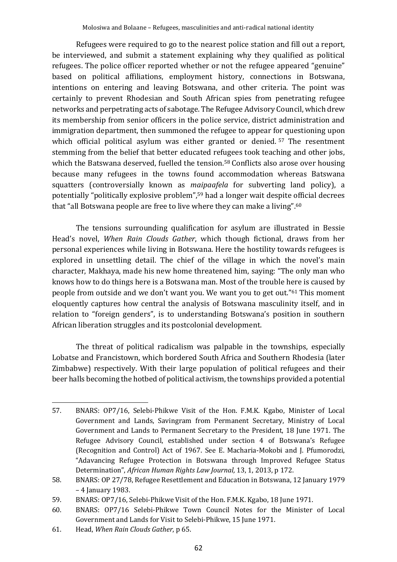Refugees were required to go to the nearest police station and fill out a report, be interviewed, and submit a statement explaining why they qualified as political refugees. The police officer reported whether or not the refugee appeared "genuine" based on political affiliations, employment history, connections in Botswana, intentions on entering and leaving Botswana, and other criteria. The point was certainly to prevent Rhodesian and South African spies from penetrating refugee networks and perpetrating acts of sabotage. The Refugee Advisory Council, which drew its membership from senior officers in the police service, district administration and immigration department, then summoned the refugee to appear for questioning upon which official political asylum was either granted or denied.<sup>57</sup> The resentment stemming from the belief that better educated refugees took teaching and other jobs, which the Batswana deserved, fuelled the tension.<sup>58</sup> Conflicts also arose over housing because many refugees in the towns found accommodation whereas Batswana squatters (controversially known as *maipaafela* for subverting land policy), a potentially "politically explosive problem", <sup>59</sup> had a longer wait despite official decrees that "all Botswana people are free to live where they can make a living".<sup>60</sup>

The tensions surrounding qualification for asylum are illustrated in Bessie Head's novel, *When Rain Clouds Gather*, which though fictional, draws from her personal experiences while living in Botswana. Here the hostility towards refugees is explored in unsettling detail. The chief of the village in which the novel's main character, Makhaya, made his new home threatened him, saying: "The only man who knows how to do things here is a Botswana man. Most of the trouble here is caused by people from outside and we don't want you. We want you to get out."<sup>61</sup> This moment eloquently captures how central the analysis of Botswana masculinity itself, and in relation to "foreign genders", is to understanding Botswana's position in southern African liberation struggles and its postcolonial development.

The threat of political radicalism was palpable in the townships, especially Lobatse and Francistown, which bordered South Africa and Southern Rhodesia (later Zimbabwe) respectively. With their large population of political refugees and their beer halls becoming the hotbed of political activism, the townships provided a potential

61. Head, *When Rain Clouds Gather*, p 65.

<sup>57.</sup> BNARS: OP7/16, Selebi-Phikwe Visit of the Hon. F.M.K. Kgabo, Minister of Local Government and Lands, Savingram from Permanent Secretary, Ministry of Local Government and Lands to Permanent Secretary to the President, 18 June 1971. The Refugee Advisory Council, established under section 4 of Botswana's Refugee (Recognition and Control) Act of 1967. See E. Macharia-Mokobi and J. Pfumorodzi, "Adavancing Refugee Protection in Botswana through Improved Refugee Status Determination", *African Human Rights Law Journal,* 13, 1, 2013, p 172.

<sup>58.</sup> BNARS: OP 27/78, Refugee Resettlement and Education in Botswana, 12 January 1979 – 4 January 1983.

<sup>59.</sup> BNARS: OP7/16, Selebi-Phikwe Visit of the Hon. F.M.K. Kgabo, 18 June 1971.

<sup>60.</sup> BNARS: OP7/16 Selebi-Phikwe Town Council Notes for the Minister of Local Government and Lands for Visit to Selebi-Phikwe, 15 June 1971.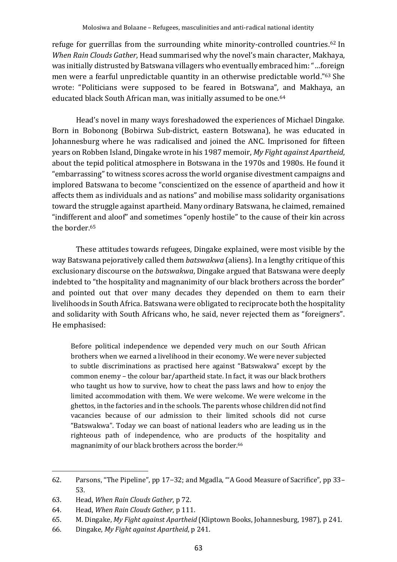refuge for guerrillas from the surrounding white minority-controlled countries.<sup>62</sup> In *When Rain Clouds Gather*, Head summarised why the novel's main character, Makhaya, was initially distrusted by Batswana villagers who eventually embraced him: "…foreign men were a fearful unpredictable quantity in an otherwise predictable world." <sup>63</sup> She wrote: "Politicians were supposed to be feared in Botswana", and Makhaya, an educated black South African man, was initially assumed to be one.<sup>64</sup>

Head's novel in many ways foreshadowed the experiences of Michael Dingake. Born in Bobonong (Bobirwa Sub-district, eastern Botswana), he was educated in Johannesburg where he was radicalised and joined the ANC. Imprisoned for fifteen years on Robben Island, Dingake wrote in his 1987 memoir, *My Fight against Apartheid*, about the tepid political atmosphere in Botswana in the 1970s and 1980s. He found it "embarrassing" to witness scores across the world organise divestment campaigns and implored Batswana to become "conscientized on the essence of apartheid and how it affects them as individuals and as nations" and mobilise mass solidarity organisations toward the struggle against apartheid. Many ordinary Batswana, he claimed, remained "indifferent and aloof" and sometimes "openly hostile" to the cause of their kin across the border.<sup>65</sup>

These attitudes towards refugees, Dingake explained, were most visible by the way Batswana pejoratively called them *batswakwa* (aliens). In a lengthy critique of this exclusionary discourse on the *batswakwa*, Dingake argued that Batswana were deeply indebted to "the hospitality and magnanimity of our black brothers across the border" and pointed out that over many decades they depended on them to earn their livelihoods in South Africa. Batswana were obligated to reciprocate both the hospitality and solidarity with South Africans who, he said, never rejected them as "foreigners". He emphasised:

Before political independence we depended very much on our South African brothers when we earned a livelihood in their economy. We were never subjected to subtle discriminations as practised here against "Batswakwa" except by the common enemy – the colour bar/apartheid state. In fact, it was our black brothers who taught us how to survive, how to cheat the pass laws and how to enjoy the limited accommodation with them. We were welcome. We were welcome in the ghettos, in the factories and in the schools. The parents whose children did not find vacancies because of our admission to their limited schools did not curse "Batswakwa". Today we can boast of national leaders who are leading us in the righteous path of independence, who are products of the hospitality and magnanimity of our black brothers across the border.<sup>66</sup>

<sup>62.</sup> Parsons, "The Pipeline", pp 17–32; and Mgadla, "'A Good Measure of Sacrifice", pp 33– 53.

<sup>63.</sup> Head, *When Rain Clouds Gather*, p 72.

<sup>64.</sup> Head, *When Rain Clouds Gather*, p 111.

<sup>65.</sup> M. Dingake, *My Fight against Apartheid* (Kliptown Books, Johannesburg, 1987), p 241.

<sup>66.</sup> Dingake, *My Fight against Apartheid*, p 241.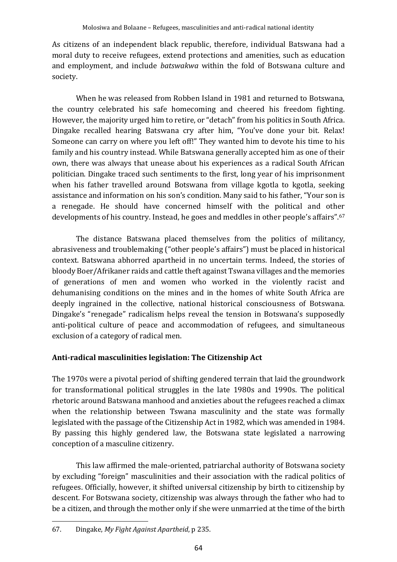As citizens of an independent black republic, therefore, individual Batswana had a moral duty to receive refugees, extend protections and amenities, such as education and employment, and include *batswakwa* within the fold of Botswana culture and society.

When he was released from Robben Island in 1981 and returned to Botswana, the country celebrated his safe homecoming and cheered his freedom fighting. However, the majority urged him to retire, or "detach" from his politics in South Africa. Dingake recalled hearing Batswana cry after him, "You've done your bit. Relax! Someone can carry on where you left off!" They wanted him to devote his time to his family and his country instead. While Batswana generally accepted him as one of their own, there was always that unease about his experiences as a radical South African politician. Dingake traced such sentiments to the first, long year of his imprisonment when his father travelled around Botswana from village kgotla to kgotla, seeking assistance and information on his son's condition. Many said to his father, "Your son is a renegade. He should have concerned himself with the political and other developments of his country. Instead, he goes and meddles in other people's affairs". 67

The distance Batswana placed themselves from the politics of militancy, abrasiveness and troublemaking ("other people's affairs") must be placed in historical context. Batswana abhorred apartheid in no uncertain terms. Indeed, the stories of bloody Boer/Afrikaner raids and cattle theft against Tswana villages and the memories of generations of men and women who worked in the violently racist and dehumanising conditions on the mines and in the homes of white South Africa are deeply ingrained in the collective, national historical consciousness of Botswana. Dingake's "renegade" radicalism helps reveal the tension in Botswana's supposedly anti-political culture of peace and accommodation of refugees, and simultaneous exclusion of a category of radical men.

# **Anti-radical masculinities legislation: The Citizenship Act**

The 1970s were a pivotal period of shifting gendered terrain that laid the groundwork for transformational political struggles in the late 1980s and 1990s. The political rhetoric around Batswana manhood and anxieties about the refugees reached a climax when the relationship between Tswana masculinity and the state was formally legislated with the passage of the Citizenship Act in 1982, which was amended in 1984. By passing this highly gendered law, the Botswana state legislated a narrowing conception of a masculine citizenry.

This law affirmed the male-oriented, patriarchal authority of Botswana society by excluding "foreign" masculinities and their association with the radical politics of refugees. Officially, however, it shifted universal citizenship by birth to citizenship by descent. For Botswana society, citizenship was always through the father who had to be a citizen, and through the mother only if she were unmarried at the time of the birth

<sup>67.</sup> Dingake, *My Fight Against Apartheid*, p 235.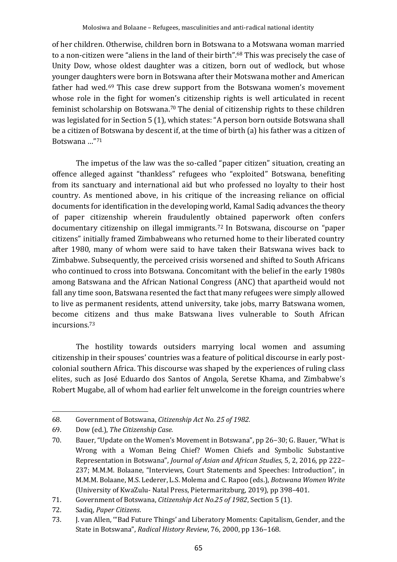of her children. Otherwise, children born in Botswana to a Motswana woman married to a non-citizen were "aliens in the land of their birth". <sup>68</sup> This was precisely the case of Unity Dow, whose oldest daughter was a citizen, born out of wedlock, but whose younger daughters were born in Botswana after their Motswana mother and American father had wed.<sup>69</sup> This case drew support from the Botswana women's movement whose role in the fight for women's citizenship rights is well articulated in recent feminist scholarship on Botswana.<sup>70</sup> The denial of citizenship rights to these children was legislated for in Section 5 (1), which states: "A person born outside Botswana shall be a citizen of Botswana by descent if, at the time of birth (a) his father was a citizen of Botswana …" 71

The impetus of the law was the so-called "paper citizen" situation, creating an offence alleged against "thankless" refugees who "exploited" Botswana, benefiting from its sanctuary and international aid but who professed no loyalty to their host country. As mentioned above, in his critique of the increasing reliance on official documents for identification in the developing world, Kamal Sadiq advances the theory of paper citizenship wherein fraudulently obtained paperwork often confers documentary citizenship on illegal immigrants.<sup>72</sup> In Botswana, discourse on "paper citizens" initially framed Zimbabweans who returned home to their liberated country after 1980, many of whom were said to have taken their Batswana wives back to Zimbabwe. Subsequently, the perceived crisis worsened and shifted to South Africans who continued to cross into Botswana. Concomitant with the belief in the early 1980s among Batswana and the African National Congress (ANC) that apartheid would not fall any time soon, Batswana resented the fact that many refugees were simply allowed to live as permanent residents, attend university, take jobs, marry Batswana women, become citizens and thus make Batswana lives vulnerable to South African incursions.<sup>73</sup>

The hostility towards outsiders marrying local women and assuming citizenship in their spouses' countries was a feature of political discourse in early postcolonial southern Africa. This discourse was shaped by the experiences of ruling class elites, such as José Eduardo dos Santos of Angola, Seretse Khama, and Zimbabwe's Robert Mugabe, all of whom had earlier felt unwelcome in the foreign countries where

<sup>68.</sup> Government of Botswana, *Citizenship Act No. 25 of 1982.*

<sup>69.</sup> Dow (ed.), *The Citizenship Case.*

<sup>70.</sup> Bauer, "Update on the Women's Movement in Botswana", pp 26–30; G. Bauer, "What is Wrong with a Woman Being Chief? Women Chiefs and Symbolic Substantive Representation in Botswana", *Journal of Asian and African Studies*, 5, 2, 2016, pp 222– 237; M.M.M. Bolaane, "Interviews, Court Statements and Speeches: Introduction", in M.M.M. Bolaane, M.S. Lederer, L.S. Molema and C. Rapoo (eds.), *Botswana Women Write* (University of KwaZulu- Natal Press, Pietermaritzburg, 2019), pp 398–401.

<sup>71.</sup> Government of Botswana, *Citizenship Act No.25 of 1982*, Section 5 (1).

<sup>72.</sup> Sadiq, *Paper Citizens*.

<sup>73.</sup> J. van Allen, '"Bad Future Things' and Liberatory Moments: Capitalism, Gender, and the State in Botswana", *Radical History Review*, 76, 2000, pp 136–168.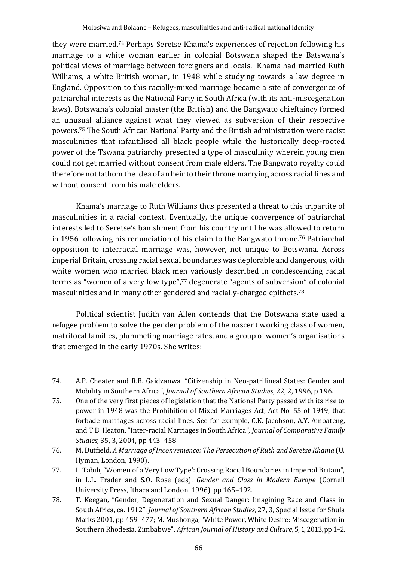they were married.<sup>74</sup> Perhaps Seretse Khama's experiences of rejection following his marriage to a white woman earlier in colonial Botswana shaped the Batswana's political views of marriage between foreigners and locals. Khama had married Ruth Williams, a white British woman, in 1948 while studying towards a law degree in England. Opposition to this racially-mixed marriage became a site of convergence of patriarchal interests as the National Party in South Africa (with its anti-miscegenation laws), Botswana's colonial master (the British) and the Bangwato chieftaincy formed an unusual alliance against what they viewed as subversion of their respective powers.<sup>75</sup> The South African National Party and the British administration were racist masculinities that infantilised all black people while the historically deep-rooted power of the Tswana patriarchy presented a type of masculinity wherein young men could not get married without consent from male elders. The Bangwato royalty could therefore not fathom the idea of an heir to their throne marrying across racial lines and without consent from his male elders.

Khama's marriage to Ruth Williams thus presented a threat to this tripartite of masculinities in a racial context. Eventually, the unique convergence of patriarchal interests led to Seretse's banishment from his country until he was allowed to return in 1956 following his renunciation of his claim to the Bangwato throne.<sup>76</sup> Patriarchal opposition to interracial marriage was, however, not unique to Botswana. Across imperial Britain, crossing racial sexual boundaries was deplorable and dangerous, with white women who married black men variously described in condescending racial terms as "women of a very low type", <sup>77</sup> degenerate "agents of subversion" of colonial masculinities and in many other gendered and racially-charged epithets.<sup>78</sup>

Political scientist Judith van Allen contends that the Botswana state used a refugee problem to solve the gender problem of the nascent working class of women, matrifocal families, plummeting marriage rates, and a group of women's organisations that emerged in the early 1970s. She writes:

<sup>74.</sup> A.P. Cheater and R.B. Gaidzanwa, "Citizenship in Neo-patrilineal States: Gender and Mobility in Southern Africa", *Journal of Southern African Studies*, 22, 2, 1996, p 196.

<sup>75.</sup> One of the very first pieces of legislation that the National Party passed with its rise to power in 1948 was the Prohibition of Mixed Marriages Act, Act No. 55 of 1949, that forbade marriages across racial lines. See for example, C.K. Jacobson, A.Y. Amoateng, and T.B. Heaton, "Inter-racial Marriages in South Africa"*, Journal of Comparative Family Studies,* 35, 3, 2004, pp 443–458.

<sup>76.</sup> M. Dutfield, *A Marriage of Inconvenience: The Persecution of Ruth and Seretse Khama* (U. Hyman, London, 1990).

<sup>77.</sup> L. Tabili, "Women of a Very Low Type': Crossing Racial Boundaries in Imperial Britain", in L.L. Frader and S.O. Rose (eds), *Gender and Class in Modern Europe* (Cornell University Press, Ithaca and London, 1996), pp 165–192.

<sup>78.</sup> T. Keegan, "Gender, Degeneration and Sexual Danger: Imagining Race and Class in South Africa, ca. 1912", *Journal of Southern African Studies*, 27, 3, Special Issue for Shula Marks 2001, pp 459–477; M. Mushonga, "White Power, White Desire: Miscegenation in Southern Rhodesia, Zimbabwe", *African Journal of History and Culture*, 5, 1, 2013, pp 1–2.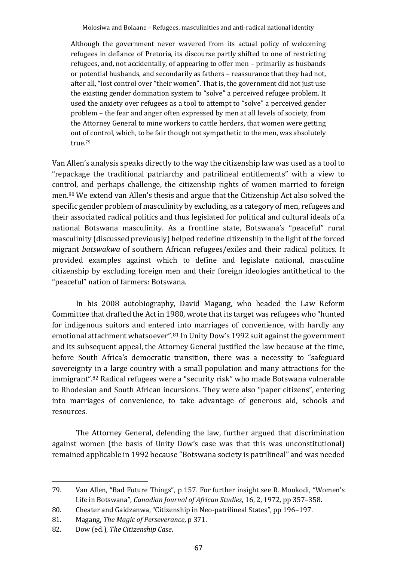Although the government never wavered from its actual policy of welcoming refugees in defiance of Pretoria, its discourse partly shifted to one of restricting refugees, and, not accidentally, of appearing to offer men – primarily as husbands or potential husbands, and secondarily as fathers – reassurance that they had not, after all, "lost control over "their women". That is, the government did not just use the existing gender domination system to "solve" a perceived refugee problem. It used the anxiety over refugees as a tool to attempt to "solve" a perceived gender problem – the fear and anger often expressed by men at all levels of society, from the Attorney General to mine workers to cattle herders, that women were getting out of control, which, to be fair though not sympathetic to the men, was absolutely true.<sup>79</sup>

Van Allen's analysis speaks directly to the way the citizenship law was used as a tool to "repackage the traditional patriarchy and patrilineal entitlements" with a view to control, and perhaps challenge, the citizenship rights of women married to foreign men.<sup>80</sup> We extend van Allen's thesis and argue that the Citizenship Act also solved the specific gender problem of masculinity by excluding, as a category of men, refugees and their associated radical politics and thus legislated for political and cultural ideals of a national Botswana masculinity. As a frontline state, Botswana's "peaceful" rural masculinity (discussed previously) helped redefine citizenship in the light of the forced migrant *batswakwa* of southern African refugees/exiles and their radical politics. It provided examples against which to define and legislate national, masculine citizenship by excluding foreign men and their foreign ideologies antithetical to the "peaceful" nation of farmers: Botswana.

In his 2008 autobiography, David Magang, who headed the Law Reform Committee that drafted the Act in 1980, wrote that its target was refugees who "hunted for indigenous suitors and entered into marriages of convenience, with hardly any emotional attachment whatsoever". <sup>81</sup> In Unity Dow's 1992 suit against the government and its subsequent appeal, the Attorney General justified the law because at the time, before South Africa's democratic transition, there was a necessity to "safeguard sovereignty in a large country with a small population and many attractions for the immigrant". <sup>82</sup> Radical refugees were a "security risk" who made Botswana vulnerable to Rhodesian and South African incursions. They were also "paper citizens", entering into marriages of convenience, to take advantage of generous aid, schools and resources.

The Attorney General, defending the law, further argued that discrimination against women (the basis of Unity Dow's case was that this was unconstitutional) remained applicable in 1992 because "Botswana society is patrilineal" and was needed

<sup>79.</sup> Van Allen, "Bad Future Things", p 157. For further insight see R. Mookodi, "Women's Life in Botswana", *Canadian Journal of African Studies*, 16, 2, 1972, pp 357–358.

<sup>80.</sup> Cheater and Gaidzanwa, "Citizenship in Neo-patrilineal States", pp 196–197.

<sup>81.</sup> Magang, *The Magic of Perseverance*, p 371.

<sup>82.</sup> Dow (ed.), *The Citizenship Case*.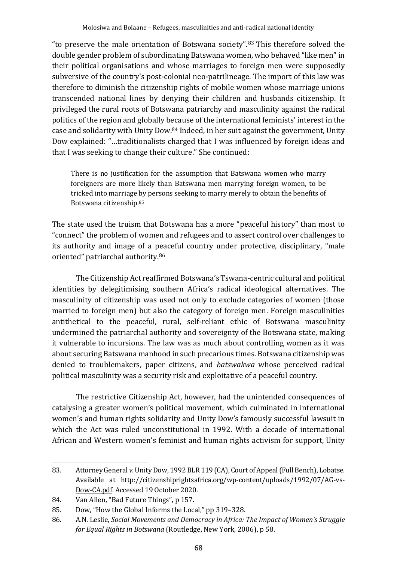"to preserve the male orientation of Botswana society". <sup>83</sup> This therefore solved the double gender problem of subordinating Batswana women, who behaved "like men" in their political organisations and whose marriages to foreign men were supposedly subversive of the country's post-colonial neo-patrilineage. The import of this law was therefore to diminish the citizenship rights of mobile women whose marriage unions transcended national lines by denying their children and husbands citizenship. It privileged the rural roots of Botswana patriarchy and masculinity against the radical politics of the region and globally because of the international feminists' interest in the case and solidarity with Unity Dow. <sup>84</sup> Indeed, in her suit against the government, Unity Dow explained: "…traditionalists charged that I was influenced by foreign ideas and that I was seeking to change their culture." She continued:

There is no justification for the assumption that Batswana women who marry foreigners are more likely than Batswana men marrying foreign women, to be tricked into marriage by persons seeking to marry merely to obtain the benefits of Botswana citizenship.<sup>85</sup>

The state used the truism that Botswana has a more "peaceful history" than most to "connect" the problem of women and refugees and to assert control over challenges to its authority and image of a peaceful country under protective, disciplinary, "male oriented" patriarchal authority.<sup>86</sup>

The Citizenship Act reaffirmed Botswana's Tswana-centric cultural and political identities by delegitimising southern Africa's radical ideological alternatives. The masculinity of citizenship was used not only to exclude categories of women (those married to foreign men) but also the category of foreign men. Foreign masculinities antithetical to the peaceful, rural, self-reliant ethic of Botswana masculinity undermined the patriarchal authority and sovereignty of the Botswana state, making it vulnerable to incursions. The law was as much about controlling women as it was about securing Batswana manhood in such precarious times. Botswana citizenship was denied to troublemakers, paper citizens, and *batswakwa* whose perceived radical political masculinity was a security risk and exploitative of a peaceful country.

The restrictive Citizenship Act, however, had the unintended consequences of catalysing a greater women's political movement, which culminated in international women's and human rights solidarity and Unity Dow's famously successful lawsuit in which the Act was ruled unconstitutional in 1992. With a decade of international African and Western women's feminist and human rights activism for support, Unity

<sup>83.</sup> Attorney General *v*. Unity Dow, 1992 BLR 119 (CA), Court of Appeal (Full Bench), Lobatse. Available at [http://citizenshiprightsafrica.org/wp-content/uploads/1992/07/AG-vs-](about:blank)[Dow-CA.pdf.](about:blank) Accessed 19 October 2020.

<sup>84.</sup> Van Allen, "Bad Future Things", p 157.

<sup>85.</sup> Dow, "How the Global Informs the Local," pp 319–328.

<sup>86.</sup> A.N. Leslie, *Social Movements and Democracy in Africa: The Impact of Women's Struggle for Equal Rights in Botswana* (Routledge, New York, 2006), p 58.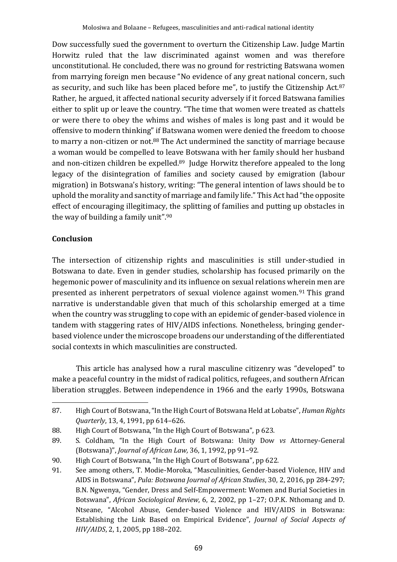Dow successfully sued the government to overturn the Citizenship Law. Judge Martin Horwitz ruled that the law discriminated against women and was therefore unconstitutional. He concluded, there was no ground for restricting Batswana women from marrying foreign men because "No evidence of any great national concern, such as security, and such like has been placed before me", to justify the Citizenship Act.<sup>87</sup> Rather, he argued, it affected national security adversely if it forced Batswana families either to split up or leave the country. "The time that women were treated as chattels or were there to obey the whims and wishes of males is long past and it would be offensive to modern thinking" if Batswana women were denied the freedom to choose to marry a non-citizen or not.<sup>88</sup> The Act undermined the sanctity of marriage because a woman would be compelled to leave Botswana with her family should her husband and non-citizen children be expelled.<sup>89</sup> Judge Horwitz therefore appealed to the long legacy of the disintegration of families and society caused by emigration (labour migration) in Botswana's history, writing: "The general intention of laws should be to uphold the morality and sanctity of marriage and family life." This Act had "the opposite effect of encouraging illegitimacy, the splitting of families and putting up obstacles in the way of building a family unit". 90

### **Conclusion**

The intersection of citizenship rights and masculinities is still under-studied in Botswana to date. Even in gender studies, scholarship has focused primarily on the hegemonic power of masculinity and its influence on sexual relations wherein men are presented as inherent perpetrators of sexual violence against women.<sup>91</sup> This grand narrative is understandable given that much of this scholarship emerged at a time when the country was struggling to cope with an epidemic of gender-based violence in tandem with staggering rates of HIV/AIDS infections. Nonetheless, bringing genderbased violence under the microscope broadens our understanding of the differentiated social contexts in which masculinities are constructed.

This article has analysed how a rural masculine citizenry was "developed" to make a peaceful country in the midst of radical politics, refugees, and southern African liberation struggles. Between independence in 1966 and the early 1990s, Botswana

<sup>87.</sup> High Court of Botswana, "In the High Court of Botswana Held at Lobatse", *Human Rights Quarterly*, 13, 4, 1991, pp 614–626.

<sup>88.</sup> High Court of Botswana, "In the High Court of Botswana", p 623.

<sup>89.</sup> S. Coldham, "In the High Court of Botswana: Unity Dow *vs* Attorney-General (Botswana)", *Journal of African Law,* 36, 1, 1992, pp 91–92.

<sup>90.</sup> High Court of Botswana, "In the High Court of Botswana", pp 622.

<sup>91.</sup> See among others, T. Modie-Moroka, "Masculinities, Gender-based Violence, HIV and AIDS in Botswana", *Pula: Botswana Journal of African Studies*, 30, 2, 2016, pp 284-297; B.N. Ngwenya, "Gender, Dress and Self-Empowerment: Women and Burial Societies in Botswana", *African Sociological Review*, 6, 2, 2002, pp 1–27; O.P.K. Nthomang and D. Ntseane, "Alcohol Abuse, Gender-based Violence and HIV/AIDS in Botswana: Establishing the Link Based on Empirical Evidence", *Journal of Social Aspects of HIV/AIDS*, 2, 1, 2005, pp 188–202.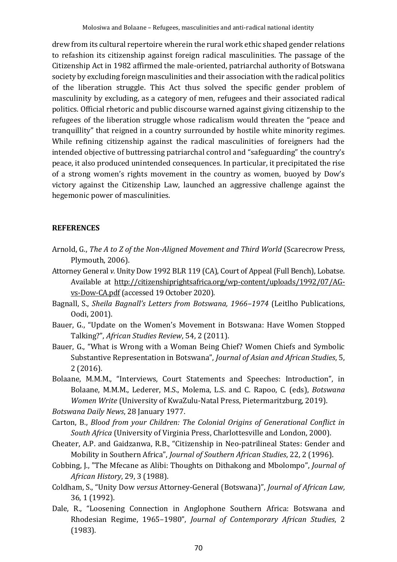drew from its cultural repertoire wherein the rural work ethic shaped gender relations to refashion its citizenship against foreign radical masculinities. The passage of the Citizenship Act in 1982 affirmed the male-oriented, patriarchal authority of Botswana society by excluding foreign masculinities and their association with the radical politics of the liberation struggle. This Act thus solved the specific gender problem of masculinity by excluding, as a category of men, refugees and their associated radical politics. Official rhetoric and public discourse warned against giving citizenship to the refugees of the liberation struggle whose radicalism would threaten the "peace and tranquillity" that reigned in a country surrounded by hostile white minority regimes. While refining citizenship against the radical masculinities of foreigners had the intended objective of buttressing patriarchal control and "safeguarding" the country's peace, it also produced unintended consequences. In particular, it precipitated the rise of a strong women's rights movement in the country as women, buoyed by Dow's victory against the Citizenship Law, launched an aggressive challenge against the hegemonic power of masculinities.

#### **REFERENCES**

- Arnold, G., *The A to Z of the Non-Aligned Movement and Third World* (Scarecrow Press, Plymouth, 2006).
- Attorney General *v.* Unity Dow 1992 BLR 119 (CA), Court of Appeal (Full Bench), Lobatse. Available at http://citizenshiprightsafrica.org/wp-content/uploads/1992/07/AGvs-Dow-CA.pdf(accessed 19 October 2020).
- Bagnall, S., *Sheila Bagnall's Letters from Botswana, 1966–1974* (Leitlho Publications, Oodi, 2001).
- Bauer, G., "Update on the Women's Movement in Botswana: Have Women Stopped Talking?", *African Studies Review*, 54, 2 (2011).
- Bauer, G., "What is Wrong with a Woman Being Chief? Women Chiefs and Symbolic Substantive Representation in Botswana", *Journal of Asian and African Studies*, 5, 2 (2016).

Bolaane, M.M.M., "Interviews, Court Statements and Speeches: Introduction", in Bolaane, M.M.M., Lederer, M.S., Molema, L.S. and C. Rapoo, C. (eds), *Botswana Women Write* (University of KwaZulu-Natal Press, Pietermaritzburg, 2019).

*Botswana Daily News*, 28 January 1977.

- Carton, B., *Blood from your Children: The Colonial Origins of Generational Conflict in South Africa* (University of Virginia Press, Charlottesville and London, 2000).
- Cheater, A.P. and Gaidzanwa, R.B., "Citizenship in Neo-patrilineal States: Gender and Mobility in Southern Africa", *Journal of Southern African Studies*, 22, 2 (1996).
- Cobbing, J., "The Mfecane as Alibi: Thoughts on Dithakong and Mbolompo", *Journal of African History*, 29, 3 (1988).
- Coldham, S., "Unity Dow *versus* Attorney-General (Botswana)", *Journal of African Law,* 36, 1 (1992).
- Dale, R., "Loosening Connection in Anglophone Southern Africa: Botswana and Rhodesian Regime, 1965–1980", *Journal of Contemporary African Studies*, 2 (1983).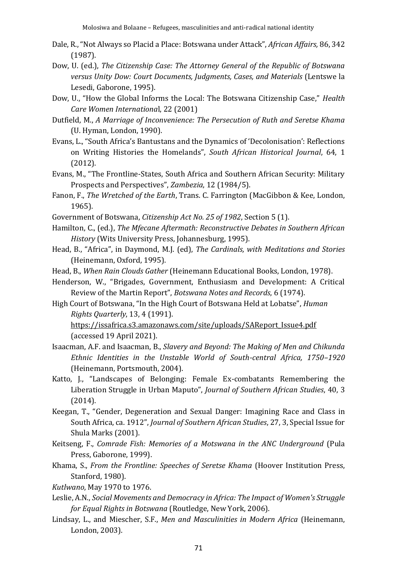- Dale, R., "Not Always so Placid a Place: Botswana under Attack", *African Affairs,* 86, 342 (1987).
- Dow, U. (ed.), *The Citizenship Case: The Attorney General of the Republic of Botswana versus Unity Dow: Court Documents, Judgments, Cases, and Materials* (Lentswe la Lesedi, Gaborone, 1995).
- Dow, U., "How the Global Informs the Local: The Botswana Citizenship Case," *Health Care Women Internationa*l, 22 (2001)
- Dutfield, M., *A Marriage of Inconvenience: The Persecution of Ruth and Seretse Khama* (U. Hyman, London, 1990).
- Evans, L., "South Africa's Bantustans and the Dynamics of 'Decolonisation': Reflections on Writing Histories the Homelands", *South African Historical Journal*, 64, 1 (2012).
- Evans, M., "The Frontline-States, South Africa and Southern African Security: Military Prospects and Perspectives", *Zambezia*, 12 (1984/5).
- Fanon, F., *The Wretched of the Earth*, Trans. C. Farrington (MacGibbon & Kee, London, 1965).
- Government of Botswana, *Citizenship Act No. 25 of 1982*, Section 5 (1).
- Hamilton, C., (ed.), *The Mfecane Aftermath: Reconstructive Debates in Southern African History* (Wits University Press, Johannesburg, 1995).
- Head, B., "Africa", in Daymond, M.J. (ed), *The Cardinals, with Meditations and Stories* (Heinemann, Oxford, 1995).
- Head, B., *When Rain Clouds Gather* (Heinemann Educational Books, London, 1978).
- Henderson, W., "Brigades, Government, Enthusiasm and Development: A Critical Review of the Martin Report", *Botswana Notes and Records*, 6 (1974).
- High Court of Botswana, "In the High Court of Botswana Held at Lobatse", *Human Rights Quarterly*, 13, 4 (1991).

https://issafrica.s3.amazonaws.com/site/uploads/SAReport\_Issue4.pdf (accessed 19 April 2021).

- Isaacman, A.F. and Isaacman, B., *Slavery and Beyond: The Making of Men and Chikunda Ethnic Identities in the Unstable World of South-central Africa, 1750–1920* (Heinemann, Portsmouth, 2004).
- Katto, J., "Landscapes of Belonging: Female Ex-combatants Remembering the Liberation Struggle in Urban Maputo", *Journal of Southern African Studies*, 40, 3 (2014).
- Keegan, T., "Gender, Degeneration and Sexual Danger: Imagining Race and Class in South Africa, ca. 1912", *Journal of Southern African Studies*, 27, 3, Special Issue for Shula Marks (2001).
- Keitseng, F., *Comrade Fish: Memories of a Motswana in the ANC Underground* (Pula Press, Gaborone, 1999).
- Khama, S., *From the Frontline: Speeches of Seretse Khama* (Hoover Institution Press, Stanford, 1980).
- *Kutlwano*, May 1970 to 1976.
- Leslie, A.N., *Social Movements and Democracy in Africa: The Impact of Women's Struggle for Equal Rights in Botswana* (Routledge, New York, 2006).
- Lindsay, L., and Miescher, S.F., *Men and Masculinities in Modern Africa* (Heinemann, London, 2003).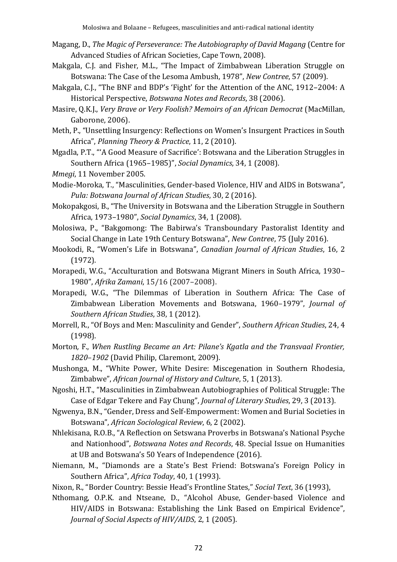- Magang, D., *The Magic of Perseverance: The Autobiography of David Magang* (Centre for Advanced Studies of African Societies, Cape Town, 2008).
- Makgala, C.J. and Fisher, M.L., "The Impact of Zimbabwean Liberation Struggle on Botswana: The Case of the Lesoma Ambush, 1978", *New Contree*, 57 (2009).
- Makgala, C.J., "The BNF and BDP's 'Fight' for the Attention of the ANC, 1912–2004: A Historical Perspective, *Botswana Notes and Records*, 38 (2006).
- Masire, Q.K.J., *Very Brave or Very Foolish? Memoirs of an African Democrat* (MacMillan, Gaborone, 2006).
- Meth, P., "Unsettling Insurgency: Reflections on Women's Insurgent Practices in South Africa", *Planning Theory & Practice*, 11, 2 (2010).
- Mgadla, P.T., "'A Good Measure of Sacrifice': Botswana and the Liberation Struggles in Southern Africa (1965–1985)", *Social Dynamics*, 34, 1 (2008).
- *Mmegi*, 11 November 2005.
- Modie-Moroka, T., "Masculinities, Gender-based Violence, HIV and AIDS in Botswana", *Pula: Botswana Journal of African Studies*, 30, 2 (2016).
- Mokopakgosi, B., "The University in Botswana and the Liberation Struggle in Southern Africa, 1973–1980", *Social Dynamics*, 34, 1 (2008).
- Molosiwa, P., "Bakgomong: The Babirwa's Transboundary Pastoralist Identity and Social Change in Late 19th Century Botswana", *New Contree*, 75 (July 2016).
- Mookodi, R., "Women's Life in Botswana", *Canadian Journal of African Studies*, 16, 2 (1972).
- Morapedi, W.G., "Acculturation and Botswana Migrant Miners in South Africa, 1930– 1980", *Afrika Zamani*, 15/16 (2007–2008).
- Morapedi, W.G., "The Dilemmas of Liberation in Southern Africa: The Case of Zimbabwean Liberation Movements and Botswana, 1960–1979", *Journal of Southern African Studies*, 38, 1 (2012).
- Morrell, R., "Of Boys and Men: Masculinity and Gender", *Southern African Studies*, 24, 4 (1998).
- Morton*,* F., *When Rustling Became an Art: Pilane's Kgatla and the Transvaal Frontier, 1820*–*1902* (David Philip, Claremont, 2009).
- Mushonga, M., "White Power, White Desire: Miscegenation in Southern Rhodesia, Zimbabwe", *African Journal of History and Culture*, 5, 1 (2013).
- Ngoshi, H.T., "Masculinities in Zimbabwean Autobiographies of Political Struggle: The Case of Edgar Tekere and Fay Chung", *Journal of Literary Studies*, 29, 3 (2013).
- Ngwenya, B.N., "Gender, Dress and Self-Empowerment: Women and Burial Societies in Botswana", *African Sociological Review*, 6, 2 (2002).
- Nhlekisana, R.O.B., "A Reflection on Setswana Proverbs in Botswana's National Psyche and Nationhood", *Botswana Notes and Records*, 48. Special Issue on Humanities at UB and Botswana's 50 Years of Independence (2016).
- Niemann, M., "Diamonds are a State's Best Friend: Botswana's Foreign Policy in Southern Africa", *Africa Today*, 40, 1 (1993).
- Nixon, R., "Border Country: Bessie Head's Frontline States," *Social Text*, 36 (1993),
- Nthomang, O.P.K. and Ntseane, D., "Alcohol Abuse, Gender-based Violence and HIV/AIDS in Botswana: Establishing the Link Based on Empirical Evidence", *Journal of Social Aspects of HIV/AIDS*, 2, 1 (2005).